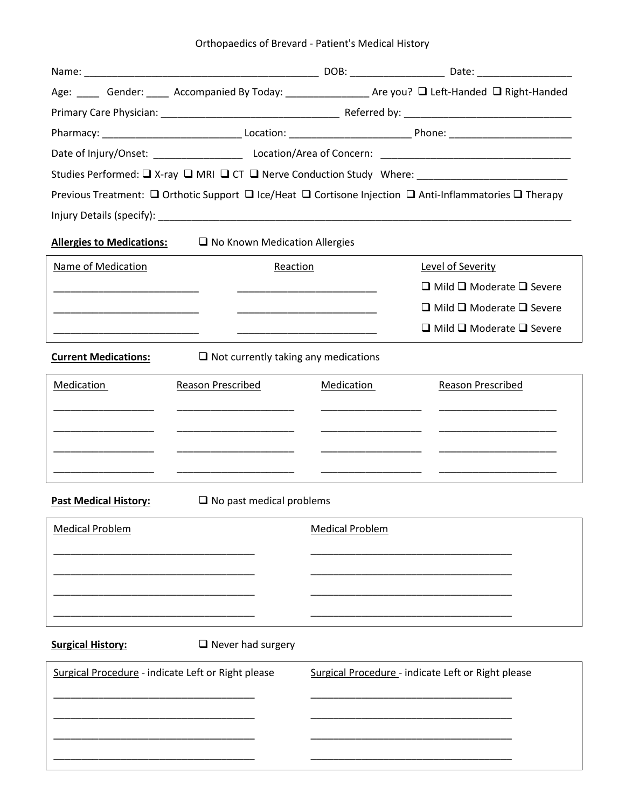| Orthopaedics of Brevard - Patient's Medical History |  |  |  |
|-----------------------------------------------------|--|--|--|
|-----------------------------------------------------|--|--|--|

|                                                    |                                             | Age: ____ Gender: ____ Accompanied By Today: ______________ Are you? Q Left-Handed Q Right-Handed                     |                                                                                                                                  |  |  |
|----------------------------------------------------|---------------------------------------------|-----------------------------------------------------------------------------------------------------------------------|----------------------------------------------------------------------------------------------------------------------------------|--|--|
|                                                    |                                             |                                                                                                                       |                                                                                                                                  |  |  |
|                                                    |                                             |                                                                                                                       |                                                                                                                                  |  |  |
|                                                    |                                             |                                                                                                                       |                                                                                                                                  |  |  |
|                                                    |                                             |                                                                                                                       | Studies Performed: □ X-ray □ MRI □ CT □ Nerve Conduction Study Where: _____________________________                              |  |  |
|                                                    |                                             |                                                                                                                       | Previous Treatment: $\Box$ Orthotic Support $\Box$ Ice/Heat $\Box$ Cortisone Injection $\Box$ Anti-Inflammatories $\Box$ Therapy |  |  |
|                                                    |                                             |                                                                                                                       |                                                                                                                                  |  |  |
| <b>Allergies to Medications:</b>                   | $\Box$ No Known Medication Allergies        |                                                                                                                       |                                                                                                                                  |  |  |
| Name of Medication                                 | Reaction                                    |                                                                                                                       | Level of Severity                                                                                                                |  |  |
|                                                    |                                             |                                                                                                                       | $\Box$ Mild $\Box$ Moderate $\Box$ Severe                                                                                        |  |  |
|                                                    |                                             | <u> 1980 - Johann John Stone, markin amerikan bisa di sebagai pertama dan bagian dan bagian dan bisa di sebagai p</u> | $\Box$ Mild $\Box$ Moderate $\Box$ Severe                                                                                        |  |  |
|                                                    |                                             | <u> 1989 - Johann John Stone, markin amerikan bisa di sebagai pertama dan bagian dan bagian dan bisa di sebagai p</u> | $\Box$ Mild $\Box$ Moderate $\Box$ Severe                                                                                        |  |  |
| <b>Current Medications:</b>                        | $\Box$ Not currently taking any medications |                                                                                                                       |                                                                                                                                  |  |  |
| Medication                                         | Reason Prescribed                           | Medication                                                                                                            | <b>Reason Prescribed</b>                                                                                                         |  |  |
|                                                    |                                             |                                                                                                                       |                                                                                                                                  |  |  |
|                                                    |                                             |                                                                                                                       |                                                                                                                                  |  |  |
|                                                    |                                             |                                                                                                                       |                                                                                                                                  |  |  |
|                                                    |                                             |                                                                                                                       |                                                                                                                                  |  |  |
| <b>Past Medical History:</b>                       | $\Box$ No past medical problems             |                                                                                                                       |                                                                                                                                  |  |  |
| <b>Medical Problem</b>                             |                                             | <b>Medical Problem</b>                                                                                                |                                                                                                                                  |  |  |
|                                                    |                                             |                                                                                                                       |                                                                                                                                  |  |  |
|                                                    |                                             |                                                                                                                       |                                                                                                                                  |  |  |
|                                                    |                                             |                                                                                                                       |                                                                                                                                  |  |  |
|                                                    |                                             |                                                                                                                       |                                                                                                                                  |  |  |
| <b>Surgical History:</b>                           | $\Box$ Never had surgery                    |                                                                                                                       |                                                                                                                                  |  |  |
| Surgical Procedure - indicate Left or Right please |                                             |                                                                                                                       | Surgical Procedure - indicate Left or Right please                                                                               |  |  |
|                                                    |                                             |                                                                                                                       |                                                                                                                                  |  |  |
|                                                    |                                             |                                                                                                                       |                                                                                                                                  |  |  |
|                                                    |                                             |                                                                                                                       |                                                                                                                                  |  |  |
|                                                    |                                             |                                                                                                                       |                                                                                                                                  |  |  |